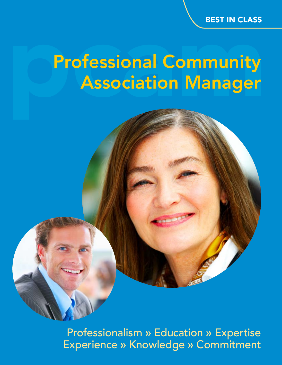## BEST IN CLASS

# **Professional Community** Association Manager

Professionalism » Education » Expertise Experience » Knowledge » Commitment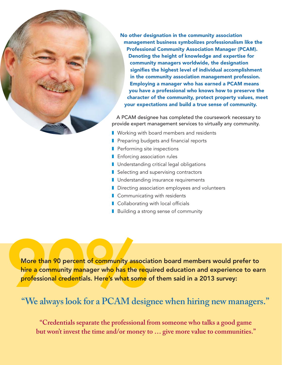No other designation in the community association management business symbolizes professionalism like the Professional Community Association Manager (PCAM). Denoting the height of knowledge and expertise for community managers worldwide, the designation signifies the highest level of individual accomplishment in the community association management profession. Employing a manager who has earned a PCAM means you have a professional who knows how to preserve the character of the community, protect property values, meet your expectations and build a true sense of community.

A PCAM designee has completed the coursework necessary to provide expert management services to virtually any community.

- Working with board members and residents
- Preparing budgets and financial reports
- **■** Performing site inspections
- **■** Enforcing association rules
- Understanding critical legal obligations
- Selecting and supervising contractors
- Understanding insurance requirements
- Directing association employees and volunteers
- Communicating with residents
- $\blacksquare$  Collaborating with local officials
- Building a strong sense of community

More than 90 percent of community association board members would prefer to hire a community manager who has the required education and experience to ear professional credentials. Here's what some of them said in a 2013 su hire a community manager who has the required education and experience to earn professional credentials. Here's what some of them said in a 2013 survey:

# **"We always look for a PCAM designee when hiring new managers."**

**"Credentials separate the professional from someone who talks a good game but won't invest the time and/or money to … give more value to communities."**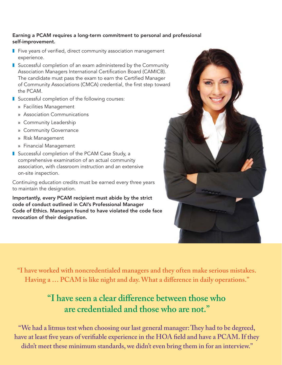#### Earning a PCAM requires a long-term commitment to personal and professional self-improvement.

- Five years of verified, direct community association management experience.
- Successful completion of an exam administered by the Community Association Managers International Certification Board (CAMICB). The candidate must pass the exam to earn the Certified Manager of Community Associations (CMCA) credential, the first step toward the PCAM.
- Successful completion of the following courses:
	- » Facilities Management
	- » Association Communications
	- » Community Leadership
	- » Community Governance
	- » Risk Management
	- » Financial Management
- Successful completion of the PCAM Case Study, a comprehensive examination of an actual community association, with classroom instruction and an extensive on-site inspection.

Continuing education credits must be earned every three years to maintain the designation.

Importantly, every PCAM recipient must abide by the strict code of conduct outlined in CAI's Professional Manager Code of Ethics. Managers found to have violated the code face revocation of their designation.



**"I have worked with noncredentialed managers and they often make serious mistakes.**  Having a ... PCAM is like night and day. What a difference in daily operations."

# "I have seen a clear difference between those who **are credentialed and those who are not."**

"We had a litmus test when choosing our last general manager: They had to be degreed, have at least five years of verifiable experience in the HOA field and have a PCAM. If they **didn't meet these minimum standards, we didn't even bring them in for an interview."**